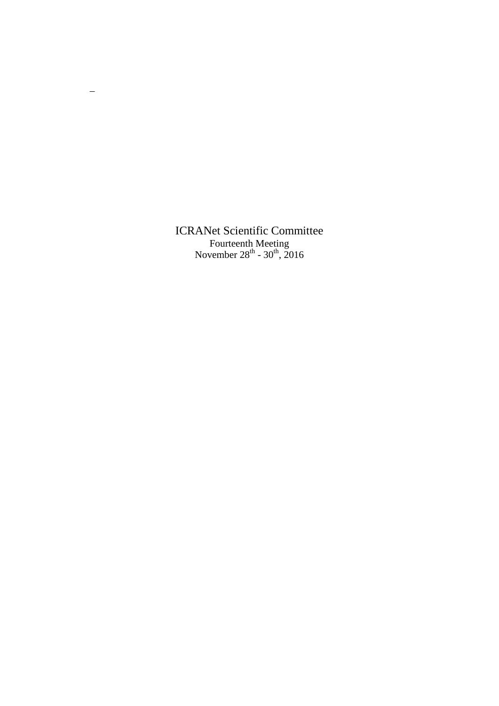ICRANet Scientific Committee Fourteenth Meeting November  $28^{th}$  -  $30^{th}$ ,  $2016$ 

 $\overline{\phantom{m}}$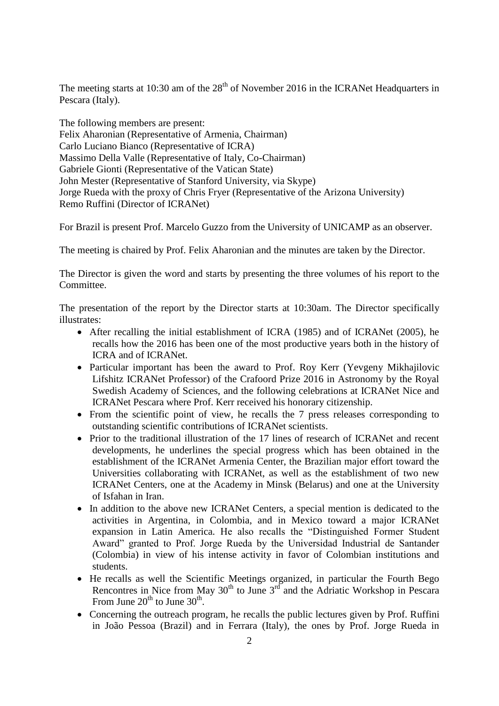The meeting starts at 10:30 am of the  $28<sup>th</sup>$  of November 2016 in the ICRANet Headquarters in Pescara (Italy).

The following members are present: Felix Aharonian (Representative of Armenia, Chairman) Carlo Luciano Bianco (Representative of ICRA) Massimo Della Valle (Representative of Italy, Co-Chairman) Gabriele Gionti (Representative of the Vatican State) John Mester (Representative of Stanford University, via Skype) Jorge Rueda with the proxy of Chris Fryer (Representative of the Arizona University) Remo Ruffini (Director of ICRANet)

For Brazil is present Prof. Marcelo Guzzo from the University of UNICAMP as an observer.

The meeting is chaired by Prof. Felix Aharonian and the minutes are taken by the Director.

The Director is given the word and starts by presenting the three volumes of his report to the Committee.

The presentation of the report by the Director starts at 10:30am. The Director specifically illustrates:

- After recalling the initial establishment of ICRA (1985) and of ICRANet (2005), he recalls how the 2016 has been one of the most productive years both in the history of ICRA and of ICRANet.
- Particular important has been the award to Prof. Roy Kerr (Yevgeny Mikhajilovic Lifshitz ICRANet Professor) of the Crafoord Prize 2016 in Astronomy by the Royal Swedish Academy of Sciences, and the following celebrations at ICRANet Nice and ICRANet Pescara where Prof. Kerr received his honorary citizenship.
- From the scientific point of view, he recalls the 7 press releases corresponding to outstanding scientific contributions of ICRANet scientists.
- Prior to the traditional illustration of the 17 lines of research of ICRANet and recent developments, he underlines the special progress which has been obtained in the establishment of the ICRANet Armenia Center, the Brazilian major effort toward the Universities collaborating with ICRANet, as well as the establishment of two new ICRANet Centers, one at the Academy in Minsk (Belarus) and one at the University of Isfahan in Iran.
- In addition to the above new ICRANet Centers, a special mention is dedicated to the activities in Argentina, in Colombia, and in Mexico toward a major ICRANet expansion in Latin America. He also recalls the "Distinguished Former Student Award" granted to Prof. Jorge Rueda by the Universidad Industrial de Santander (Colombia) in view of his intense activity in favor of Colombian institutions and students.
- He recalls as well the Scientific Meetings organized, in particular the Fourth Bego Rencontres in Nice from May  $30<sup>th</sup>$  to June  $3<sup>rd</sup>$  and the Adriatic Workshop in Pescara From June  $20^{\text{th}}$  to June  $30^{\text{th}}$ .
- Concerning the outreach program, he recalls the public lectures given by Prof. Ruffini in João Pessoa (Brazil) and in Ferrara (Italy), the ones by Prof. Jorge Rueda in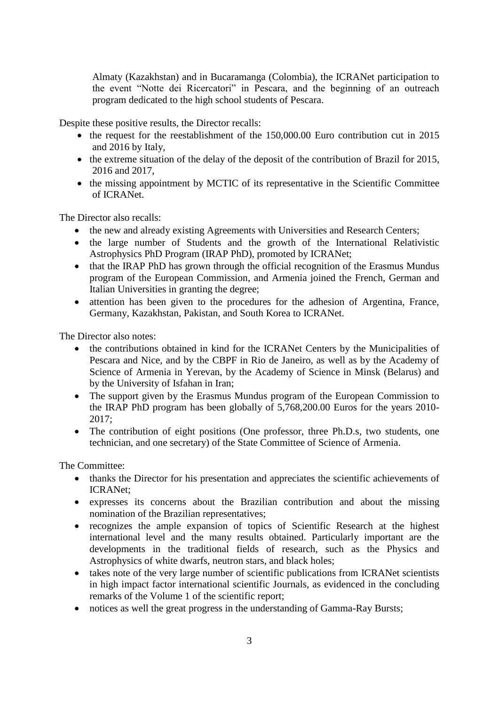Almaty (Kazakhstan) and in Bucaramanga (Colombia), the ICRANet participation to the event "Notte dei Ricercatori" in Pescara, and the beginning of an outreach program dedicated to the high school students of Pescara.

Despite these positive results, the Director recalls:

- $\bullet$  the request for the reestablishment of the 150,000.00 Euro contribution cut in 2015 and 2016 by Italy,
- the extreme situation of the delay of the deposit of the contribution of Brazil for 2015, 2016 and 2017,
- the missing appointment by MCTIC of its representative in the Scientific Committee of ICRANet.

The Director also recalls:

- the new and already existing Agreements with Universities and Research Centers;
- the large number of Students and the growth of the International Relativistic Astrophysics PhD Program (IRAP PhD), promoted by ICRANet;
- that the IRAP PhD has grown through the official recognition of the Erasmus Mundus program of the European Commission, and Armenia joined the French, German and Italian Universities in granting the degree;
- attention has been given to the procedures for the adhesion of Argentina, France, Germany, Kazakhstan, Pakistan, and South Korea to ICRANet.

The Director also notes:

- the contributions obtained in kind for the ICRANet Centers by the Municipalities of Pescara and Nice, and by the CBPF in Rio de Janeiro, as well as by the Academy of Science of Armenia in Yerevan, by the Academy of Science in Minsk (Belarus) and by the University of Isfahan in Iran;
- The support given by the Erasmus Mundus program of the European Commission to the IRAP PhD program has been globally of 5,768,200.00 Euros for the years 2010- 2017;
- The contribution of eight positions (One professor, three Ph.D.s, two students, one technician, and one secretary) of the State Committee of Science of Armenia.

The Committee:

- thanks the Director for his presentation and appreciates the scientific achievements of ICRANet;
- expresses its concerns about the Brazilian contribution and about the missing nomination of the Brazilian representatives;
- recognizes the ample expansion of topics of Scientific Research at the highest international level and the many results obtained. Particularly important are the developments in the traditional fields of research, such as the Physics and Astrophysics of white dwarfs, neutron stars, and black holes;
- takes note of the very large number of scientific publications from ICRANet scientists in high impact factor international scientific Journals, as evidenced in the concluding remarks of the Volume 1 of the scientific report;
- notices as well the great progress in the understanding of Gamma-Ray Bursts;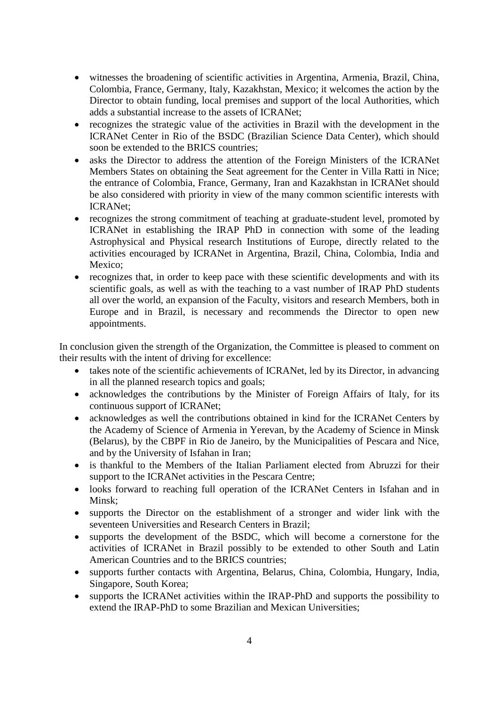- witnesses the broadening of scientific activities in Argentina, Armenia, Brazil, China, Colombia, France, Germany, Italy, Kazakhstan, Mexico; it welcomes the action by the Director to obtain funding, local premises and support of the local Authorities, which adds a substantial increase to the assets of ICRANet;
- recognizes the strategic value of the activities in Brazil with the development in the ICRANet Center in Rio of the BSDC (Brazilian Science Data Center), which should soon be extended to the BRICS countries;
- asks the Director to address the attention of the Foreign Ministers of the ICRANet Members States on obtaining the Seat agreement for the Center in Villa Ratti in Nice; the entrance of Colombia, France, Germany, Iran and Kazakhstan in ICRANet should be also considered with priority in view of the many common scientific interests with ICRANet;
- recognizes the strong commitment of teaching at graduate-student level, promoted by ICRANet in establishing the IRAP PhD in connection with some of the leading Astrophysical and Physical research Institutions of Europe, directly related to the activities encouraged by ICRANet in Argentina, Brazil, China, Colombia, India and Mexico:
- recognizes that, in order to keep pace with these scientific developments and with its scientific goals, as well as with the teaching to a vast number of IRAP PhD students all over the world, an expansion of the Faculty, visitors and research Members, both in Europe and in Brazil, is necessary and recommends the Director to open new appointments.

In conclusion given the strength of the Organization, the Committee is pleased to comment on their results with the intent of driving for excellence:

- takes note of the scientific achievements of ICRANet, led by its Director, in advancing in all the planned research topics and goals;
- acknowledges the contributions by the Minister of Foreign Affairs of Italy, for its continuous support of ICRANet;
- acknowledges as well the contributions obtained in kind for the ICRANet Centers by the Academy of Science of Armenia in Yerevan, by the Academy of Science in Minsk (Belarus), by the CBPF in Rio de Janeiro, by the Municipalities of Pescara and Nice, and by the University of Isfahan in Iran;
- is thankful to the Members of the Italian Parliament elected from Abruzzi for their support to the ICRANet activities in the Pescara Centre;
- looks forward to reaching full operation of the ICRANet Centers in Isfahan and in Minsk;
- supports the Director on the establishment of a stronger and wider link with the seventeen Universities and Research Centers in Brazil;
- supports the development of the BSDC, which will become a cornerstone for the activities of ICRANet in Brazil possibly to be extended to other South and Latin American Countries and to the BRICS countries;
- supports further contacts with Argentina, Belarus, China, Colombia, Hungary, India, Singapore, South Korea;
- supports the ICRANet activities within the IRAP-PhD and supports the possibility to extend the IRAP-PhD to some Brazilian and Mexican Universities;